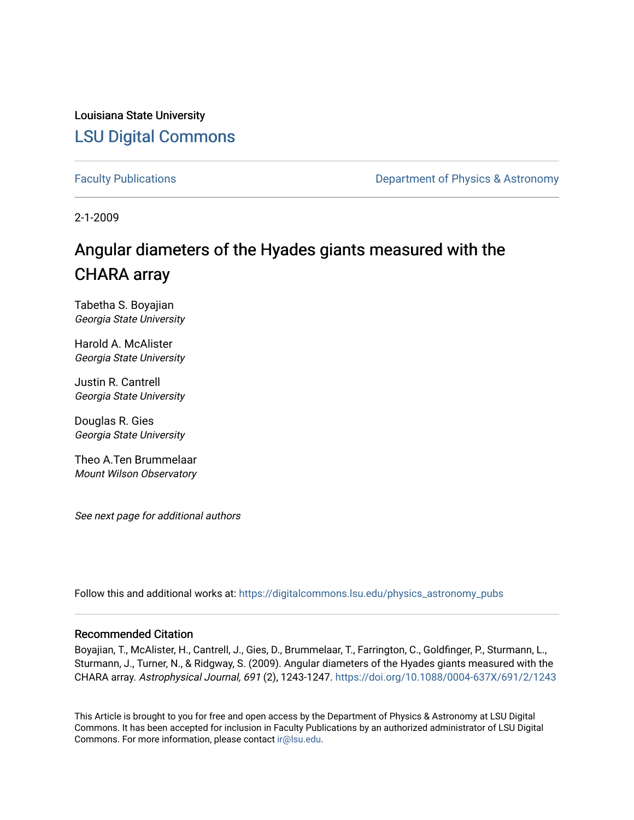Louisiana State University [LSU Digital Commons](https://digitalcommons.lsu.edu/)

[Faculty Publications](https://digitalcommons.lsu.edu/physics_astronomy_pubs) **Exercise 2 and Table 2 and Table 2 and Table 2 and Table 2 and Table 2 and Table 2 and Table 2 and Table 2 and Table 2 and Table 2 and Table 2 and Table 2 and Table 2 and Table 2 and Table 2 and Table** 

2-1-2009

# Angular diameters of the Hyades giants measured with the CHARA array

Tabetha S. Boyajian Georgia State University

Harold A. McAlister Georgia State University

Justin R. Cantrell Georgia State University

Douglas R. Gies Georgia State University

Theo A.Ten Brummelaar Mount Wilson Observatory

See next page for additional authors

Follow this and additional works at: [https://digitalcommons.lsu.edu/physics\\_astronomy\\_pubs](https://digitalcommons.lsu.edu/physics_astronomy_pubs?utm_source=digitalcommons.lsu.edu%2Fphysics_astronomy_pubs%2F471&utm_medium=PDF&utm_campaign=PDFCoverPages) 

### Recommended Citation

Boyajian, T., McAlister, H., Cantrell, J., Gies, D., Brummelaar, T., Farrington, C., Goldfinger, P., Sturmann, L., Sturmann, J., Turner, N., & Ridgway, S. (2009). Angular diameters of the Hyades giants measured with the CHARA array. Astrophysical Journal, 691 (2), 1243-1247. <https://doi.org/10.1088/0004-637X/691/2/1243>

This Article is brought to you for free and open access by the Department of Physics & Astronomy at LSU Digital Commons. It has been accepted for inclusion in Faculty Publications by an authorized administrator of LSU Digital Commons. For more information, please contact [ir@lsu.edu](mailto:ir@lsu.edu).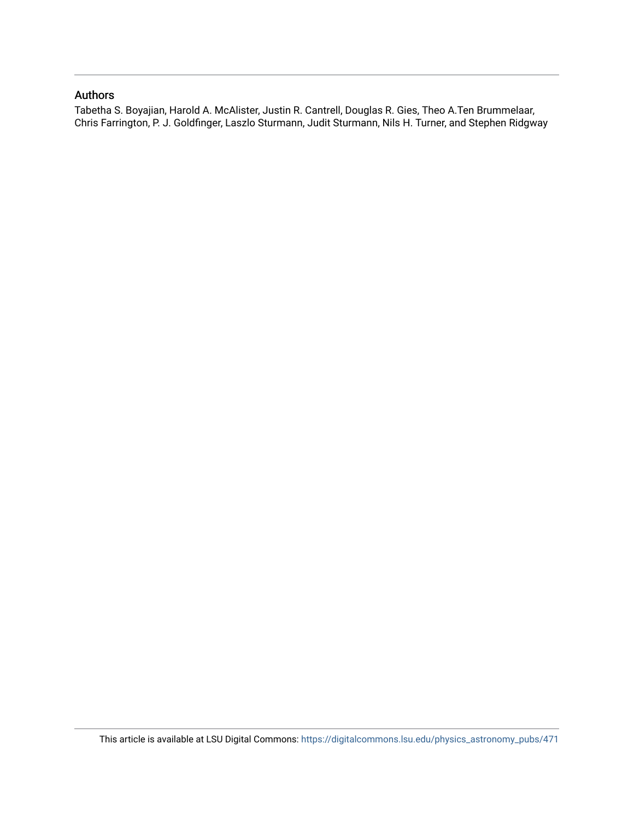## Authors

Tabetha S. Boyajian, Harold A. McAlister, Justin R. Cantrell, Douglas R. Gies, Theo A.Ten Brummelaar, Chris Farrington, P. J. Goldfinger, Laszlo Sturmann, Judit Sturmann, Nils H. Turner, and Stephen Ridgway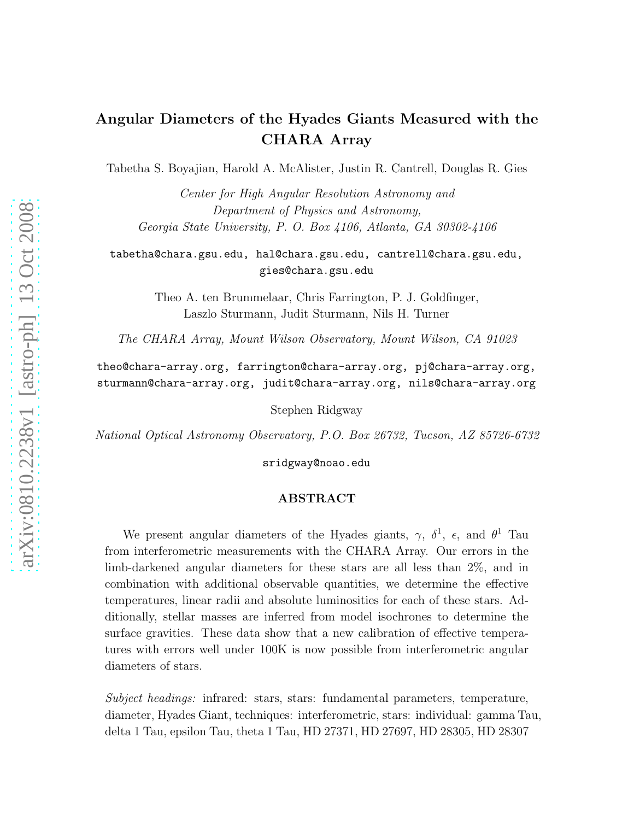# Angular Diameters of the Hyades Giants Measured with the CHARA Array

Tabetha S. Boyajian, Harold A. McAlister, Justin R. Cantrell, Douglas R. Gies

Center for High Angular Resolution Astronomy and Department of Physics and Astronomy, Georgia State University, P. O. Box 4106, Atlanta, GA 30302-4106

tabetha@chara.gsu.edu, hal@chara.gsu.edu, cantrell@chara.gsu.edu, gies@chara.gsu.edu

> Theo A. ten Brummelaar, Chris Farrington, P. J. Goldfinger, Laszlo Sturmann, Judit Sturmann, Nils H. Turner

The CHARA Array, Mount Wilson Observatory, Mount Wilson, CA 91023

theo@chara-array.org, farrington@chara-array.org, pj@chara-array.org, sturmann@chara-array.org, judit@chara-array.org, nils@chara-array.org

Stephen Ridgway

National Optical Astronomy Observatory, P.O. Box 26732, Tucson, AZ 85726-6732

sridgway@noao.edu

## ABSTRACT

We present angular diameters of the Hyades giants,  $\gamma$ ,  $\delta^1$ ,  $\epsilon$ , and  $\theta^1$  Tau from interferometric measurements with the CHARA Array. Our errors in the limb-darkened angular diameters for these stars are all less than 2%, and in combination with additional observable quantities, we determine the effective temperatures, linear radii and absolute luminosities for each of these stars. Additionally, stellar masses are inferred from model isochrones to determine the surface gravities. These data show that a new calibration of effective temperatures with errors well under 100K is now possible from interferometric angular diameters of stars.

Subject headings: infrared: stars, stars: fundamental parameters, temperature, diameter, Hyades Giant, techniques: interferometric, stars: individual: gamma Tau, delta 1 Tau, epsilon Tau, theta 1 Tau, HD 27371, HD 27697, HD 28305, HD 28307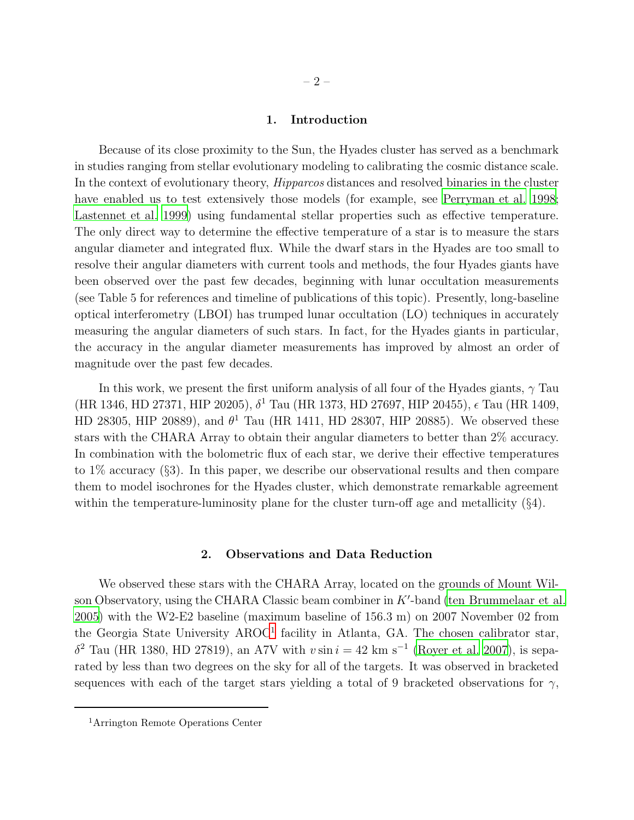#### 1. Introduction

Because of its close proximity to the Sun, the Hyades cluster has served as a benchmark in studies ranging from stellar evolutionary modeling to calibrating the cosmic distance scale. In the context of evolutionary theory, Hipparcos distances and resolved binaries in the cluster have enabled us to test extensively those models (for example, see [Perryman et al. 1998;](#page-8-0) [Lastennet et al. 1999\)](#page-8-1) using fundamental stellar properties such as effective temperature. The only direct way to determine the effective temperature of a star is to measure the stars angular diameter and integrated flux. While the dwarf stars in the Hyades are too small to resolve their angular diameters with current tools and methods, the four Hyades giants have been observed over the past few decades, beginning with lunar occultation measurements (see Table 5 for references and timeline of publications of this topic). Presently, long-baseline optical interferometry (LBOI) has trumped lunar occultation (LO) techniques in accurately measuring the angular diameters of such stars. In fact, for the Hyades giants in particular, the accuracy in the angular diameter measurements has improved by almost an order of magnitude over the past few decades.

In this work, we present the first uniform analysis of all four of the Hyades giants,  $\gamma$  Tau (HR 1346, HD 27371, HIP 20205),  $\delta^1$  Tau (HR 1373, HD 27697, HIP 20455),  $\epsilon$  Tau (HR 1409, HD 28305, HIP 20889), and  $\theta^1$  Tau (HR 1411, HD 28307, HIP 20885). We observed these stars with the CHARA Array to obtain their angular diameters to better than 2% accuracy. In combination with the bolometric flux of each star, we derive their effective temperatures to 1% accuracy (§3). In this paper, we describe our observational results and then compare them to model isochrones for the Hyades cluster, which demonstrate remarkable agreement within the temperature-luminosity plane for the cluster turn-off age and metallicity (§4).

#### 2. Observations and Data Reduction

We observed these stars with the CHARA Array, located on the grounds of Mount Wilson Observatory, using the CHARA Classic beam combiner in  $K'$ -band [\(ten Brummelaar et al.](#page-9-0) [2005\)](#page-9-0) with the W2-E2 baseline (maximum baseline of 156.3 m) on 2007 November 02 from the Georgia State University AROC<sup>[1](#page-3-0)</sup> facility in Atlanta, GA. The chosen calibrator star,  $\delta^2$  Tau (HR 1380, HD 27819), an A7V with  $v \sin i = 42$  km s<sup>-1</sup> [\(Royer et al. 2007\)](#page-9-1), is separated by less than two degrees on the sky for all of the targets. It was observed in bracketed sequences with each of the target stars yielding a total of 9 bracketed observations for  $\gamma$ ,

<span id="page-3-0"></span><sup>1</sup>Arrington Remote Operations Center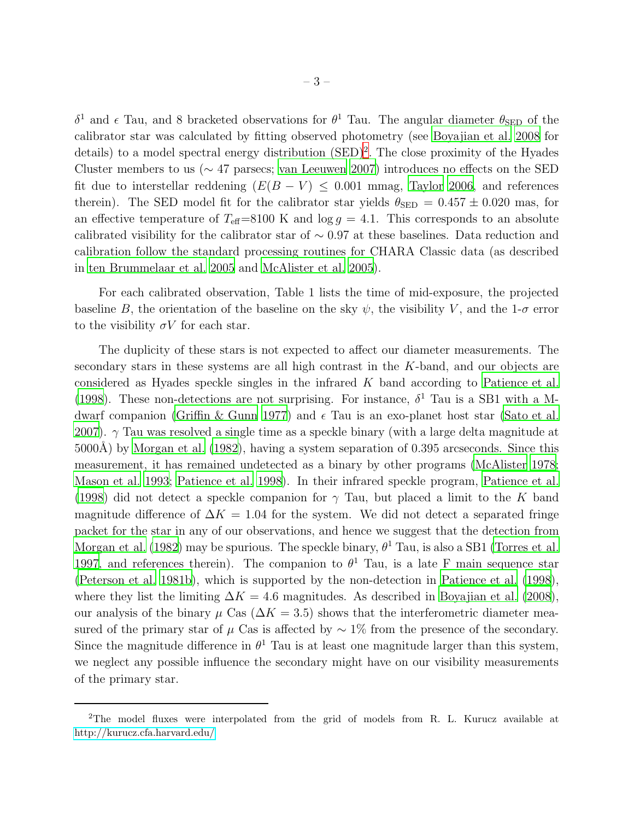$δ<sup>1</sup>$  and  $ε$  Tau, and 8 bracketed observations for  $θ<sup>1</sup>$  Tau. The angular diameter  $θ<sub>SED</sub>$  of the calibrator star was calculated by fitting observed photometry (see [Boyajian et al. 2008](#page-8-2) for details) to a model spectral energy distribution  $(SED)^2$  $(SED)^2$ . The close proximity of the Hyades Cluster members to us (∼ 47 parsecs; [van Leeuwen 2007\)](#page-9-2) introduces no effects on the SED fit due to interstellar reddening  $(E(B - V) \le 0.001$  mmag, [Taylor 2006,](#page-9-3) and references therein). The SED model fit for the calibrator star yields  $\theta_{\text{SED}} = 0.457 \pm 0.020$  mas, for an effective temperature of  $T_{\text{eff}}=8100 \text{ K}$  and  $\log g = 4.1$ . This corresponds to an absolute calibrated visibility for the calibrator star of ∼ 0.97 at these baselines. Data reduction and calibration follow the standard processing routines for CHARA Classic data (as described in [ten Brummelaar et al. 2005](#page-9-0) and [McAlister et al. 2005\)](#page-8-3).

For each calibrated observation, Table 1 lists the time of mid-exposure, the projected baseline B, the orientation of the baseline on the sky  $\psi$ , the visibility V, and the 1- $\sigma$  error to the visibility  $\sigma V$  for each star.

The duplicity of these stars is not expected to affect our diameter measurements. The secondary stars in these systems are all high contrast in the K-band, and our objects are considered as Hyades speckle singles in the infrared K band according to [Patience et al.](#page-8-4) [\(1998\)](#page-8-4). These non-detections are not surprising. For instance,  $\delta^1$  Tau is a SB1 with a M-dwarf companion [\(Griffin & Gunn 1977](#page-8-5)) and  $\epsilon$  Tau is an exo-planet host star [\(Sato et al.](#page-9-4) [2007\)](#page-9-4).  $\gamma$  Tau was resolved a single time as a speckle binary (with a large delta magnitude at  $5000\text{\AA}$ ) by [Morgan et al. \(1982\)](#page-8-6), having a system separation of 0.395 arcseconds. Since this measurement, it has remained undetected as a binary by other programs [\(McAlister 1978;](#page-8-7) [Mason et al. 1993](#page-8-8); [Patience et al. 1998](#page-8-4)). In their infrared speckle program, [Patience et al.](#page-8-4) [\(1998\)](#page-8-4) did not detect a speckle companion for  $\gamma$  Tau, but placed a limit to the K band magnitude difference of  $\Delta K = 1.04$  for the system. We did not detect a separated fringe packet for the star in any of our observations, and hence we suggest that the detection from [Morgan et al. \(1982\)](#page-8-6) may be spurious. The speckle binary,  $\theta^1$  Tau, is also a SB1 [\(Torres et al.](#page-9-5) [1997,](#page-9-5) and references therein). The companion to  $\theta^1$  Tau, is a late F main sequence star [\(Peterson et al. 1981b](#page-9-6)), which is supported by the non-detection in [Patience et al. \(1998](#page-8-4)), where they list the limiting  $\Delta K = 4.6$  magnitudes. As described in [Boyajian et al. \(2008](#page-8-2)), our analysis of the binary  $\mu$  Cas ( $\Delta K = 3.5$ ) shows that the interferometric diameter measured of the primary star of  $\mu$  Cas is affected by  $\sim 1\%$  from the presence of the secondary. Since the magnitude difference in  $\theta^1$  Tau is at least one magnitude larger than this system, we neglect any possible influence the secondary might have on our visibility measurements of the primary star.

<span id="page-4-0"></span><sup>2</sup>The model fluxes were interpolated from the grid of models from R. L. Kurucz available at <http://kurucz.cfa.harvard.edu/>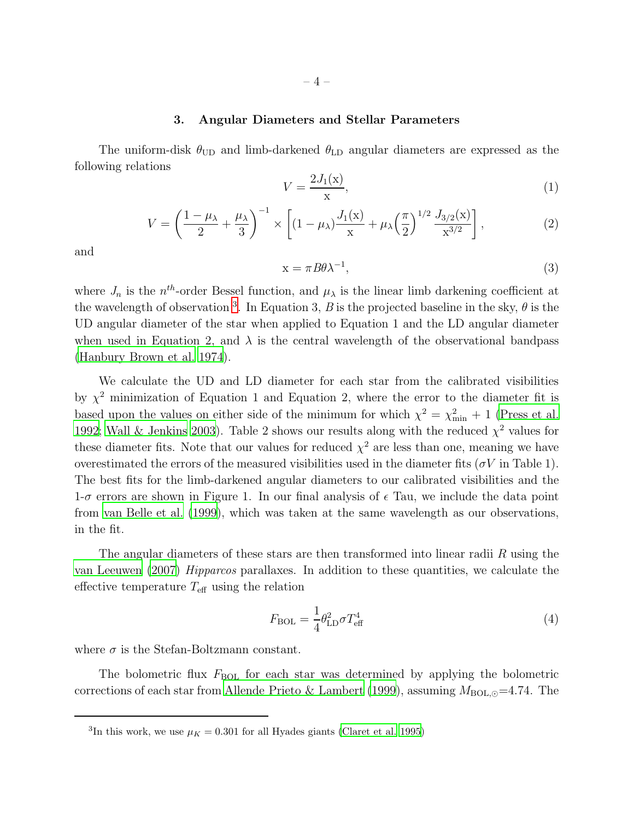# $-4-$

#### 3. Angular Diameters and Stellar Parameters

The uniform-disk  $\theta_{\text{UD}}$  and limb-darkened  $\theta_{\text{LD}}$  angular diameters are expressed as the following relations

$$
V = \frac{2J_1(x)}{x},\tag{1}
$$

$$
V = \left(\frac{1-\mu_{\lambda}}{2} + \frac{\mu_{\lambda}}{3}\right)^{-1} \times \left[ (1-\mu_{\lambda})\frac{J_1(\mathbf{x})}{\mathbf{x}} + \mu_{\lambda} \left(\frac{\pi}{2}\right)^{1/2} \frac{J_{3/2}(\mathbf{x})}{\mathbf{x}^{3/2}} \right],\tag{2}
$$

and

$$
x = \pi B \theta \lambda^{-1},\tag{3}
$$

where  $J_n$  is the  $n^{th}$ -order Bessel function, and  $\mu_{\lambda}$  is the linear limb darkening coefficient at the wavelength of observation <sup>[3](#page-5-0)</sup>. In Equation 3, B is the projected baseline in the sky,  $\theta$  is the UD angular diameter of the star when applied to Equation 1 and the LD angular diameter when used in Equation 2, and  $\lambda$  is the central wavelength of the observational bandpass [\(Hanbury Brown et al. 1974\)](#page-8-9).

We calculate the UD and LD diameter for each star from the calibrated visibilities by  $\chi^2$  minimization of Equation 1 and Equation 2, where the error to the diameter fit is based upon the values on either side of the minimum for which  $\chi^2 = \chi^2_{\text{min}} + 1$  [\(Press et al.](#page-9-7) [1992;](#page-9-7) [Wall & Jenkins 2003](#page-9-8)). Table 2 shows our results along with the reduced  $\chi^2$  values for these diameter fits. Note that our values for reduced  $\chi^2$  are less than one, meaning we have overestimated the errors of the measured visibilities used in the diameter fits ( $\sigma V$  in Table 1). The best fits for the limb-darkened angular diameters to our calibrated visibilities and the  $1-\sigma$  errors are shown in Figure 1. In our final analysis of  $\epsilon$  Tau, we include the data point from [van Belle et al. \(1999\)](#page-9-9), which was taken at the same wavelength as our observations, in the fit.

The angular diameters of these stars are then transformed into linear radii  $R$  using the [van Leeuwen \(2007\)](#page-9-2) Hipparcos parallaxes. In addition to these quantities, we calculate the effective temperature  $T_{\text{eff}}$  using the relation

$$
F_{\text{BOL}} = \frac{1}{4} \theta_{\text{LD}}^2 \sigma T_{\text{eff}}^4 \tag{4}
$$

where  $\sigma$  is the Stefan-Boltzmann constant.

The bolometric flux  $F_{BOL}$  for each star was determined by applying the bolometric corrections of each star from [Allende Prieto & Lambert \(1999\)](#page-8-10), assuming  $M_{BOL, \odot} = 4.74$ . The

<span id="page-5-0"></span><sup>&</sup>lt;sup>3</sup>In this work, we use  $\mu_K = 0.301$  for all Hyades giants [\(Claret et al. 1995\)](#page-8-11)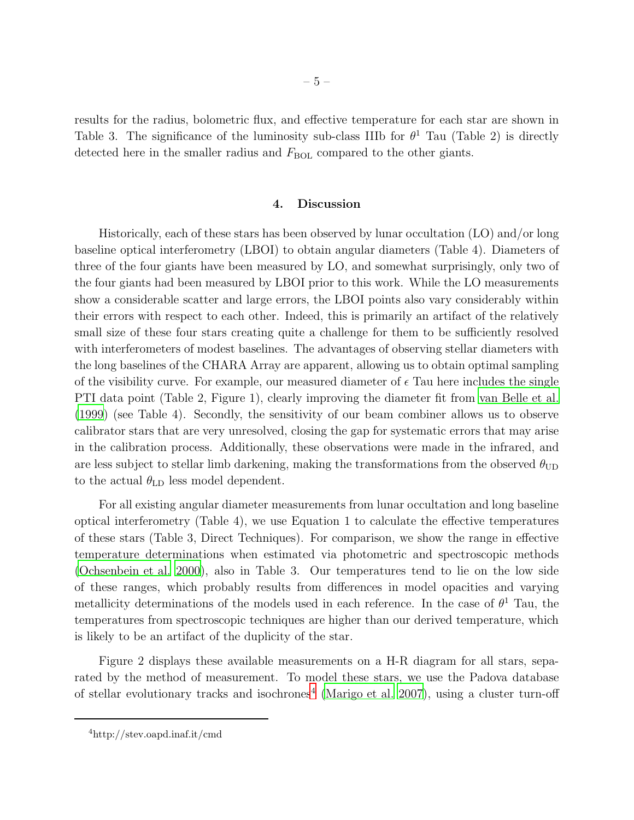results for the radius, bolometric flux, and effective temperature for each star are shown in Table 3. The significance of the luminosity sub-class IIIb for  $\theta^1$  Tau (Table 2) is directly detected here in the smaller radius and  $F_{BOL}$  compared to the other giants.

#### 4. Discussion

Historically, each of these stars has been observed by lunar occultation (LO) and/or long baseline optical interferometry (LBOI) to obtain angular diameters (Table 4). Diameters of three of the four giants have been measured by LO, and somewhat surprisingly, only two of the four giants had been measured by LBOI prior to this work. While the LO measurements show a considerable scatter and large errors, the LBOI points also vary considerably within their errors with respect to each other. Indeed, this is primarily an artifact of the relatively small size of these four stars creating quite a challenge for them to be sufficiently resolved with interferometers of modest baselines. The advantages of observing stellar diameters with the long baselines of the CHARA Array are apparent, allowing us to obtain optimal sampling of the visibility curve. For example, our measured diameter of  $\epsilon$  Tau here includes the single PTI data point (Table 2, Figure 1), clearly improving the diameter fit from [van Belle et al.](#page-9-9) [\(1999\)](#page-9-9) (see Table 4). Secondly, the sensitivity of our beam combiner allows us to observe calibrator stars that are very unresolved, closing the gap for systematic errors that may arise in the calibration process. Additionally, these observations were made in the infrared, and are less subject to stellar limb darkening, making the transformations from the observed  $\theta_{\text{UD}}$ to the actual  $\theta_{\text{LD}}$  less model dependent.

For all existing angular diameter measurements from lunar occultation and long baseline optical interferometry (Table 4), we use Equation 1 to calculate the effective temperatures of these stars (Table 3, Direct Techniques). For comparison, we show the range in effective temperature determinations when estimated via photometric and spectroscopic methods [\(Ochsenbein et al. 2000\)](#page-8-12), also in Table 3. Our temperatures tend to lie on the low side of these ranges, which probably results from differences in model opacities and varying metallicity determinations of the models used in each reference. In the case of  $\theta^1$  Tau, the temperatures from spectroscopic techniques are higher than our derived temperature, which is likely to be an artifact of the duplicity of the star.

Figure 2 displays these available measurements on a H-R diagram for all stars, separated by the method of measurement. To model these stars, we use the Padova database of stellar evolutionary tracks and isochrones<sup>[4](#page-9-10)</sup> [\(Marigo et al. 2007\)](#page-8-13), using a cluster turn-off

<sup>4</sup>http://stev.oapd.inaf.it/cmd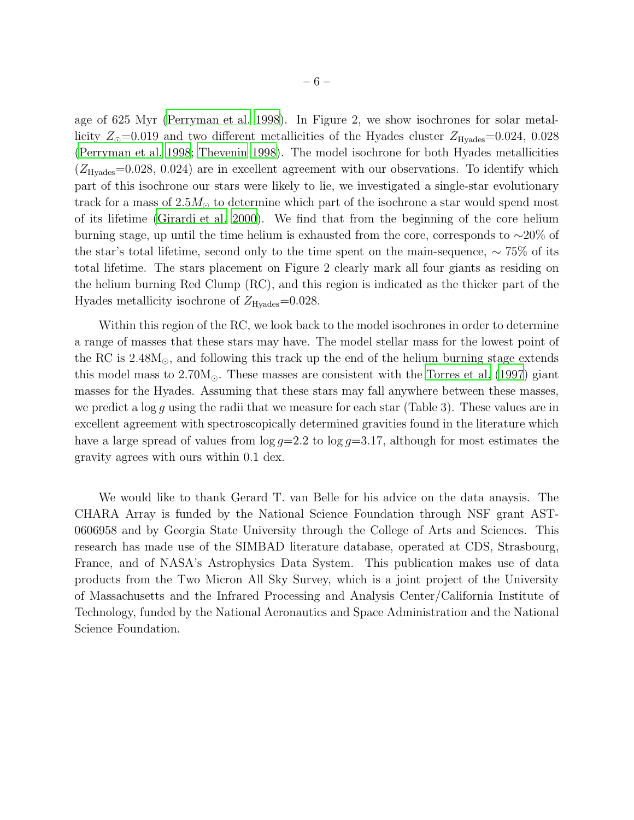age of 625 Myr [\(Perryman et al. 1998](#page-8-0)). In Figure 2, we show isochrones for solar metallicity  $Z_{\odot}$ =0.019 and two different metallicities of the Hyades cluster  $Z_{\text{Hyades}}$ =0.024, 0.028 [\(Perryman et al. 1998](#page-8-0); [Thevenin 1998\)](#page-9-11). The model isochrone for both Hyades metallicities  $(Z_{\text{Hyades}}=0.028, 0.024)$  are in excellent agreement with our observations. To identify which part of this isochrone our stars were likely to lie, we investigated a single-star evolutionary track for a mass of  $2.5M_{\odot}$  to determine which part of the isochrone a star would spend most of its lifetime [\(Girardi et al. 2000\)](#page-8-14). We find that from the beginning of the core helium burning stage, up until the time helium is exhausted from the core, corresponds to ∼20% of the star's total lifetime, second only to the time spent on the main-sequence, ∼ 75% of its total lifetime. The stars placement on Figure 2 clearly mark all four giants as residing on the helium burning Red Clump (RC), and this region is indicated as the thicker part of the Hyades metallicity isochrone of  $Z_{\text{Hyades}}=0.028$ .

Within this region of the RC, we look back to the model isochrones in order to determine a range of masses that these stars may have. The model stellar mass for the lowest point of the RC is  $2.48M_{\odot}$ , and following this track up the end of the helium burning stage extends this model mass to  $2.70M_{\odot}$ . These masses are consistent with the [Torres et al. \(1997\)](#page-9-5) giant masses for the Hyades. Assuming that these stars may fall anywhere between these masses, we predict a  $\log g$  using the radii that we measure for each star (Table 3). These values are in excellent agreement with spectroscopically determined gravities found in the literature which have a large spread of values from  $\log g=2.2$  to  $\log g=3.17$ , although for most estimates the gravity agrees with ours within 0.1 dex.

We would like to thank Gerard T. van Belle for his advice on the data anaysis. The CHARA Array is funded by the National Science Foundation through NSF grant AST-0606958 and by Georgia State University through the College of Arts and Sciences. This research has made use of the SIMBAD literature database, operated at CDS, Strasbourg, France, and of NASA's Astrophysics Data System. This publication makes use of data products from the Two Micron All Sky Survey, which is a joint project of the University of Massachusetts and the Infrared Processing and Analysis Center/California Institute of Technology, funded by the National Aeronautics and Space Administration and the National Science Foundation.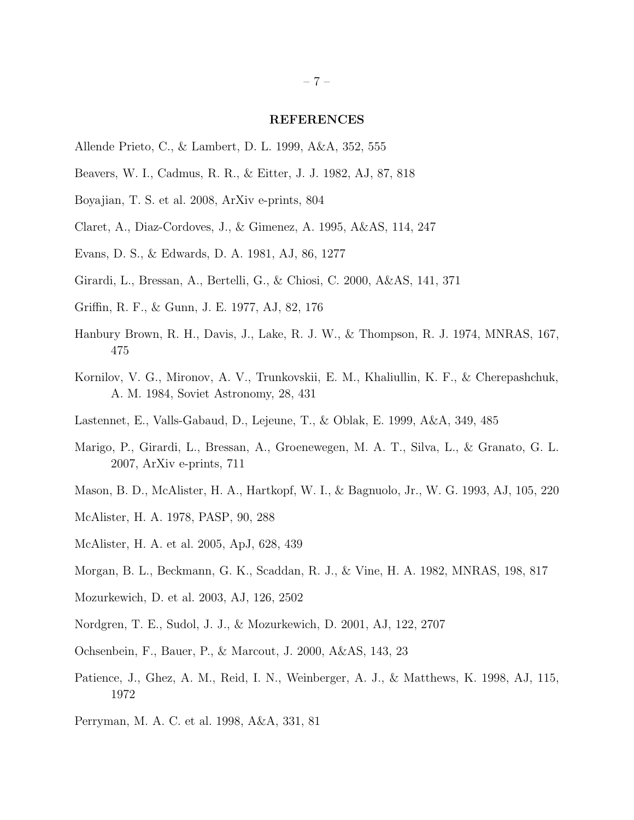#### <span id="page-8-19"></span><span id="page-8-18"></span><span id="page-8-17"></span><span id="page-8-16"></span><span id="page-8-15"></span>REFERENCES

- <span id="page-8-10"></span>Allende Prieto, C., & Lambert, D. L. 1999, A&A, 352, 555
- Beavers, W. I., Cadmus, R. R., & Eitter, J. J. 1982, AJ, 87, 818
- <span id="page-8-2"></span>Boyajian, T. S. et al. 2008, ArXiv e-prints, 804
- <span id="page-8-11"></span>Claret, A., Diaz-Cordoves, J., & Gimenez, A. 1995, A&AS, 114, 247
- Evans, D. S., & Edwards, D. A. 1981, AJ, 86, 1277
- <span id="page-8-14"></span>Girardi, L., Bressan, A., Bertelli, G., & Chiosi, C. 2000, A&AS, 141, 371
- <span id="page-8-5"></span>Griffin, R. F., & Gunn, J. E. 1977, AJ, 82, 176
- <span id="page-8-9"></span>Hanbury Brown, R. H., Davis, J., Lake, R. J. W., & Thompson, R. J. 1974, MNRAS, 167, 475
- Kornilov, V. G., Mironov, A. V., Trunkovskii, E. M., Khaliullin, K. F., & Cherepashchuk, A. M. 1984, Soviet Astronomy, 28, 431
- <span id="page-8-1"></span>Lastennet, E., Valls-Gabaud, D., Lejeune, T., & Oblak, E. 1999, A&A, 349, 485
- <span id="page-8-13"></span>Marigo, P., Girardi, L., Bressan, A., Groenewegen, M. A. T., Silva, L., & Granato, G. L. 2007, ArXiv e-prints, 711
- <span id="page-8-8"></span>Mason, B. D., McAlister, H. A., Hartkopf, W. I., & Bagnuolo, Jr., W. G. 1993, AJ, 105, 220
- <span id="page-8-7"></span>McAlister, H. A. 1978, PASP, 90, 288
- <span id="page-8-3"></span>McAlister, H. A. et al. 2005, ApJ, 628, 439
- <span id="page-8-6"></span>Morgan, B. L., Beckmann, G. K., Scaddan, R. J., & Vine, H. A. 1982, MNRAS, 198, 817
- Mozurkewich, D. et al. 2003, AJ, 126, 2502
- Nordgren, T. E., Sudol, J. J., & Mozurkewich, D. 2001, AJ, 122, 2707
- <span id="page-8-12"></span>Ochsenbein, F., Bauer, P., & Marcout, J. 2000, A&AS, 143, 23
- <span id="page-8-4"></span>Patience, J., Ghez, A. M., Reid, I. N., Weinberger, A. J., & Matthews, K. 1998, AJ, 115, 1972
- <span id="page-8-0"></span>Perryman, M. A. C. et al. 1998, A&A, 331, 81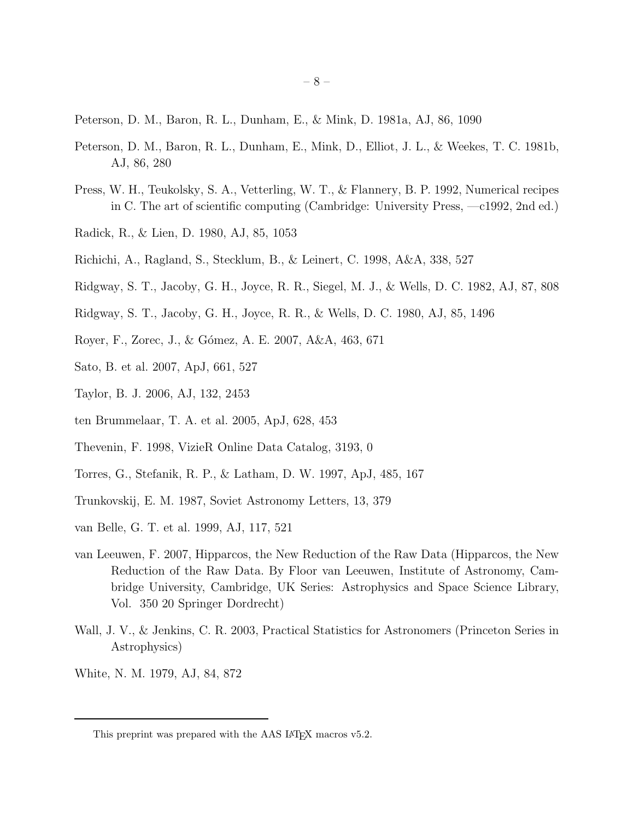<span id="page-9-19"></span><span id="page-9-18"></span><span id="page-9-17"></span><span id="page-9-16"></span><span id="page-9-15"></span><span id="page-9-14"></span><span id="page-9-13"></span><span id="page-9-12"></span>Peterson, D. M., Baron, R. L., Dunham, E., & Mink, D. 1981a, AJ, 86, 1090

- <span id="page-9-6"></span>Peterson, D. M., Baron, R. L., Dunham, E., Mink, D., Elliot, J. L., & Weekes, T. C. 1981b, AJ, 86, 280
- <span id="page-9-7"></span>Press, W. H., Teukolsky, S. A., Vetterling, W. T., & Flannery, B. P. 1992, Numerical recipes in C. The art of scientific computing (Cambridge: University Press, —c1992, 2nd ed.)
- Radick, R., & Lien, D. 1980, AJ, 85, 1053
- Richichi, A., Ragland, S., Stecklum, B., & Leinert, C. 1998, A&A, 338, 527
- Ridgway, S. T., Jacoby, G. H., Joyce, R. R., Siegel, M. J., & Wells, D. C. 1982, AJ, 87, 808
- Ridgway, S. T., Jacoby, G. H., Joyce, R. R., & Wells, D. C. 1980, AJ, 85, 1496
- <span id="page-9-1"></span>Royer, F., Zorec, J., & Gómez, A. E. 2007, A&A, 463, 671
- <span id="page-9-4"></span>Sato, B. et al. 2007, ApJ, 661, 527
- <span id="page-9-3"></span>Taylor, B. J. 2006, AJ, 132, 2453
- <span id="page-9-0"></span>ten Brummelaar, T. A. et al. 2005, ApJ, 628, 453
- <span id="page-9-11"></span>Thevenin, F. 1998, VizieR Online Data Catalog, 3193, 0
- <span id="page-9-5"></span>Torres, G., Stefanik, R. P., & Latham, D. W. 1997, ApJ, 485, 167
- Trunkovskij, E. M. 1987, Soviet Astronomy Letters, 13, 379
- <span id="page-9-9"></span>van Belle, G. T. et al. 1999, AJ, 117, 521
- <span id="page-9-2"></span>van Leeuwen, F. 2007, Hipparcos, the New Reduction of the Raw Data (Hipparcos, the New Reduction of the Raw Data. By Floor van Leeuwen, Institute of Astronomy, Cambridge University, Cambridge, UK Series: Astrophysics and Space Science Library, Vol. 350 20 Springer Dordrecht)
- <span id="page-9-8"></span>Wall, J. V., & Jenkins, C. R. 2003, Practical Statistics for Astronomers (Princeton Series in Astrophysics)
- White, N. M. 1979, AJ, 84, 872

<span id="page-9-10"></span>This preprint was prepared with the AAS IATEX macros v5.2.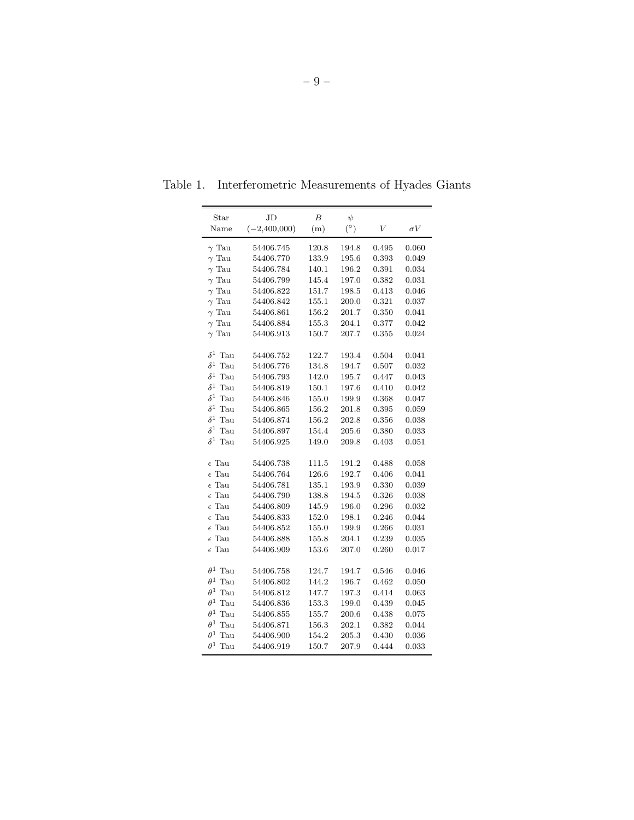| Star              | JD             | B     | $\psi$     |       |            |
|-------------------|----------------|-------|------------|-------|------------|
| Name              | $(-2,400,000)$ | (m)   | $(^\circ)$ | V     | $\sigma V$ |
| $\gamma$ Tau      | 54406.745      | 120.8 | 194.8      | 0.495 | 0.060      |
| $\gamma$ Tau      | 54406.770      | 133.9 | 195.6      | 0.393 | 0.049      |
| $\gamma$ Tau      | 54406.784      | 140.1 | 196.2      | 0.391 | 0.034      |
| $\gamma$ Tau      | 54406.799      | 145.4 | 197.0      | 0.382 | 0.031      |
| $\gamma$ Tau      | 54406.822      | 151.7 | 198.5      | 0.413 | 0.046      |
| $\gamma$ Tau      | 54406.842      | 155.1 | 200.0      | 0.321 | 0.037      |
| $\gamma$ Tau      | 54406.861      | 156.2 | 201.7      | 0.350 | 0.041      |
| $\gamma$ Tau      | 54406.884      | 155.3 | 204.1      | 0.377 | 0.042      |
| $\gamma$ Tau      | 54406.913      | 150.7 | 207.7      | 0.355 | 0.024      |
| $\delta^1$<br>Tau | 54406.752      | 122.7 | 193.4      | 0.504 | 0.041      |
| $\delta^1$<br>Tau | 54406.776      | 134.8 | 194.7      | 0.507 | 0.032      |
| $\delta^1$<br>Tau | 54406.793      | 142.0 | 195.7      | 0.447 | 0.043      |
| $\delta^1$<br>Tau | 54406.819      | 150.1 | 197.6      | 0.410 | 0.042      |
| $\delta^1$<br>Tau | 54406.846      | 155.0 | 199.9      | 0.368 | 0.047      |
| $\delta^1$<br>Tau | 54406.865      | 156.2 | 201.8      | 0.395 | 0.059      |
| $\delta^1$<br>Tau | 54406.874      | 156.2 | 202.8      | 0.356 | 0.038      |
| $\delta^1$<br>Tau | 54406.897      | 154.4 | 205.6      | 0.380 | 0.033      |
| $\delta^1$<br>Tau | 54406.925      | 149.0 | 209.8      | 0.403 | 0.051      |
|                   |                |       |            |       |            |
| $\epsilon$ Tau    | 54406.738      | 111.5 | 191.2      | 0.488 | 0.058      |
| $\epsilon$ Tau    | 54406.764      | 126.6 | 192.7      | 0.406 | 0.041      |
| $\epsilon$ Tau    | 54406.781      | 135.1 | 193.9      | 0.330 | 0.039      |
| $\epsilon$ Tau    | 54406.790      | 138.8 | 194.5      | 0.326 | 0.038      |
| $\epsilon$ Tau    | 54406.809      | 145.9 | 196.0      | 0.296 | 0.032      |
| $\epsilon$ Tau    | 54406.833      | 152.0 | 198.1      | 0.246 | 0.044      |
| $\epsilon$ Tau    | 54406.852      | 155.0 | 199.9      | 0.266 | 0.031      |
| $\epsilon$ Tau    | 54406.888      | 155.8 | 204.1      | 0.239 | 0.035      |
| $\epsilon$ Tau    | 54406.909      | 153.6 | 207.0      | 0.260 | 0.017      |
| $\theta^1$<br>Tau | 54406.758      | 124.7 | 194.7      | 0.546 | 0.046      |
| $\theta^1$<br>Tau | 54406.802      | 144.2 | 196.7      | 0.462 | 0.050      |
| $\theta^1$<br>Tau | 54406.812      | 147.7 | 197.3      | 0.414 | 0.063      |
| $\theta^1$<br>Tau | 54406.836      | 153.3 | 199.0      | 0.439 | 0.045      |
| $\theta^1$<br>Tau | 54406.855      | 155.7 | 200.6      | 0.438 | 0.075      |
| $\theta^1$<br>Tau | 54406.871      | 156.3 | 202.1      | 0.382 | 0.044      |
| $\theta^1$<br>Tau | 54406.900      | 154.2 | 205.3      | 0.430 | $_{0.036}$ |
| $\theta^1$ Tau    | 54406.919      | 150.7 | 207.9      | 0.444 | 0.033      |

Table 1. Interferometric Measurements of Hyades Giants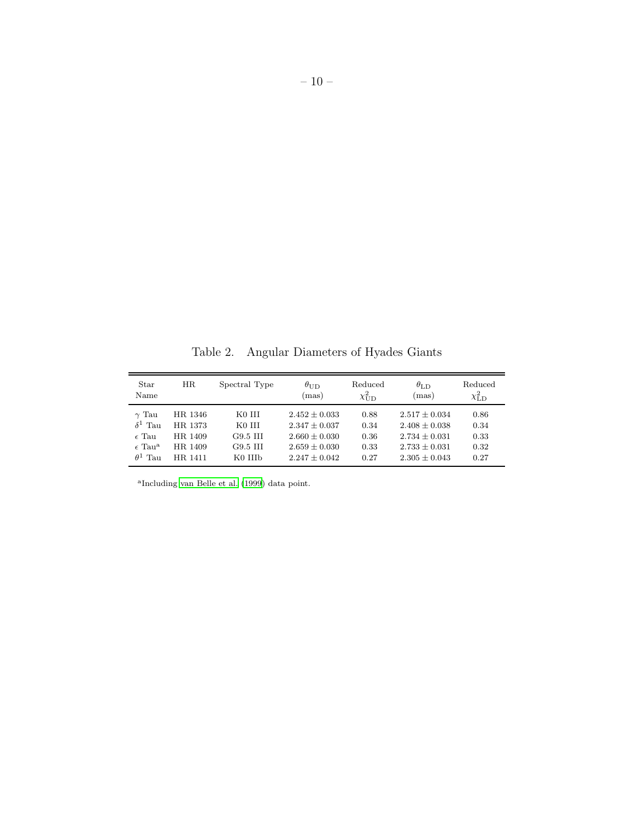Table 2. Angular Diameters of Hyades Giants

| Star<br>Name                | HR      | Spectral Type                 | $\theta_{\rm UD}$<br>(mas) | Reduced<br>$\chi^2_{\rm UD}$ | $\theta_{\rm LD}$<br>(mas) | Reduced<br>$\chi^2_{\rm LD}$ |
|-----------------------------|---------|-------------------------------|----------------------------|------------------------------|----------------------------|------------------------------|
| $\gamma$ Tau                | HR 1346 | K0 III                        | $2.452 + 0.033$            | 0.88                         | $2.517 + 0.034$            | 0.86                         |
| $\delta^1$ Tau              | HR 1373 | K <sub>0</sub> H <sub>I</sub> | $2.347 + 0.037$            | 0.34                         | $2.408 + 0.038$            | 0.34                         |
| $\epsilon$ Tau              | HR 1409 | G9.5 III                      | $2.660 + 0.030$            | 0.36                         | $2.734 + 0.031$            | 0.33                         |
| $\epsilon$ Tau <sup>a</sup> | HR 1409 | G9.5 III                      | $2.659 + 0.030$            | 0.33                         | $2.733 + 0.031$            | 0.32                         |
| $\theta^1$ Tau              | HR 1411 | K0 IIIb                       | $2.247 + 0.042$            | 0.27                         | $2.305 + 0.043$            | 0.27                         |

a Including [van Belle et al. \(1999\)](#page-9-9) data point.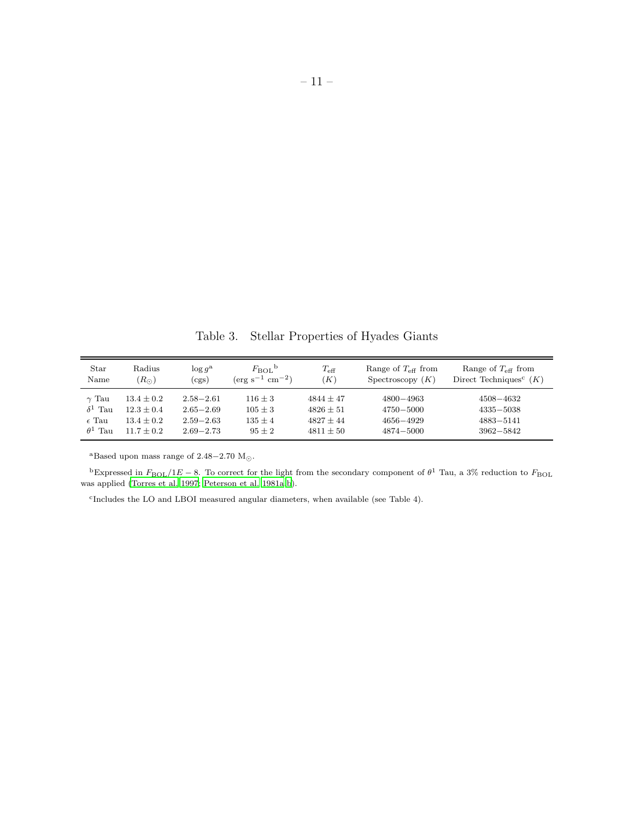Table 3. Stellar Properties of Hyades Giants

| Star<br>Name      | Radius<br>$(R_{\odot})$ | $\log g^{\rm a}$<br>(cgs) | $F_{\text{BOL}}^{\text{b}}$<br>$(\text{erg s}^{-1} \text{ cm}^{-2})$ | $T_{\rm eff}$<br>$K \$ | Range of $T_{\text{eff}}$ from<br>Spectroscopy $(K)$ | Range of $T_{\text{eff}}$ from<br>Direct Techniques <sup>c</sup> $(K)$ |
|-------------------|-------------------------|---------------------------|----------------------------------------------------------------------|------------------------|------------------------------------------------------|------------------------------------------------------------------------|
| $\gamma$ Tau      | $13.4 + 0.2$            | $2.58 - 2.61$             | $116 + 3$                                                            | $4844 + 47$            | $4800 - 4963$                                        | 4508-4632                                                              |
| $\delta^1$ Tau    | $12.3 + 0.4$            | $2.65 - 2.69$             | $105 \pm 3$                                                          | $4826 + 51$            | $4750 - 5000$                                        | $4335 - 5038$                                                          |
| $\epsilon$ Tau    | $13.4 + 0.2$            | $2.59 - 2.63$             | $135 + 4$                                                            | $4827 + 44$            | $4656 - 4929$                                        | $4883 - 5141$                                                          |
| $\theta^1$<br>Tau | $11.7 + 0.2$            | $2.69 - 2.73$             | $95 + 2$                                                             | $4811 + 50$            | 4874-5000                                            | $3962 - 5842$                                                          |

<sup>a</sup>Based upon mass range of 2.48–2.70 M<sub>☉</sub>.

<sup>b</sup>Expressed in  $F_{\text{BOL}}/1E - 8$ . To correct for the light from the secondary component of  $\theta^1$  Tau, a 3% reduction to  $F_{\text{BOL}}$ was applied [\(Torres et al. 1997;](#page-9-5) [Peterson et al. 1981a](#page-9-12)[,b\)](#page-9-6).

c Includes the LO and LBOI measured angular diameters, when available (see Table 4).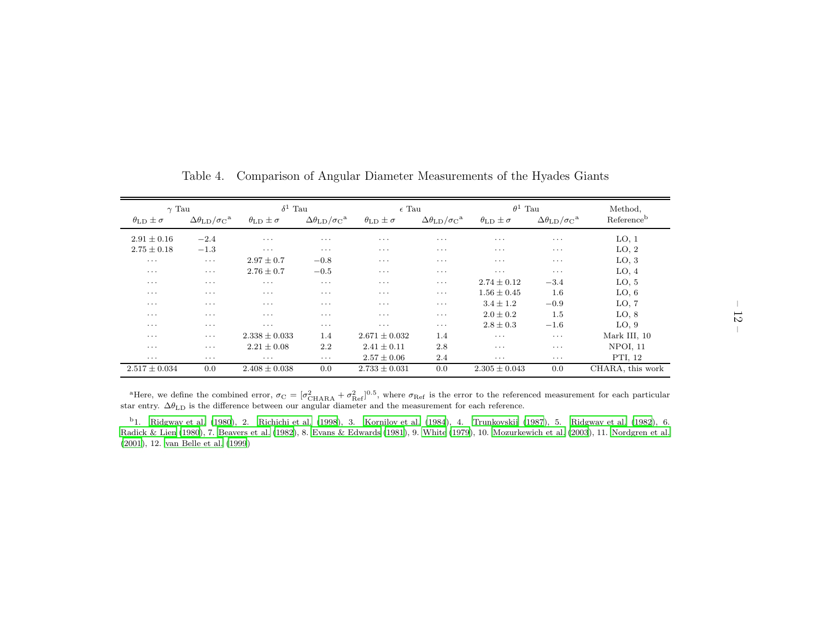| $\gamma$ Tau                    |                                                | $\delta^1$ Tau                  |                                                | $\epsilon$ Tau                  |                                                | $\theta^1$ Tau                  |                                                | Method,                |
|---------------------------------|------------------------------------------------|---------------------------------|------------------------------------------------|---------------------------------|------------------------------------------------|---------------------------------|------------------------------------------------|------------------------|
| $\theta_{\text{LD}} \pm \sigma$ | $\Delta\theta_{\rm LD}/\sigma_{\rm C}^{\rm a}$ | $\theta_{\text{LD}} \pm \sigma$ | $\Delta\theta_{\rm LD}/\sigma_{\rm C}^{\rm a}$ | $\theta_{\text{LD}} \pm \sigma$ | $\Delta\theta_{\rm LD}/\sigma_{\rm C}^{\rm a}$ | $\theta_{\text{LD}} \pm \sigma$ | $\Delta\theta_{\rm LD}/\sigma_{\rm C}^{\rm a}$ | Reference <sup>b</sup> |
| $2.91 \pm 0.16$                 | $-2.4$                                         | $\cdots$                        | $\cdots$                                       | $\cdots$                        | $\cdots$                                       | $\cdots$                        | $\cdots$                                       | LO, 1                  |
| $2.75 \pm 0.18$                 | $-1.3$                                         | $\cdots$                        | $\cdots$                                       | $\cdots$                        | $\cdots$                                       | $\cdot$                         | $\cdots$                                       | LO, 2                  |
| $\cdot$ $\cdot$ $\cdot$         | $\cdots$                                       | $2.97 \pm 0.7$                  | $-0.8$                                         | $\cdots$                        | $\cdot$ $\cdot$ $\cdot$                        | $\cdot$ $\cdot$ $\cdot$         | $\cdots$                                       | LO, 3                  |
| $\cdots$                        | $\cdots$                                       | $2.76 \pm 0.7$                  | $-0.5$                                         | $\cdots$                        | $\cdots$                                       | $\cdots$                        | $\cdots$                                       | LO, 4                  |
| $\cdots$                        | $\cdots$                                       | $\cdots$                        | $\cdots$                                       | $\cdots$                        | $\cdots$                                       | $2.74 \pm 0.12$                 | $-3.4$                                         | LO, 5                  |
| $\cdots$                        | $\cdot$ $\cdot$ $\cdot$                        | $\cdots$                        | $\cdots$                                       | $\cdots$                        | $\cdots$                                       | $1.56 \pm 0.45$                 | $1.6\,$                                        | LO, 6                  |
| $\cdots$                        | $\cdot$ $\cdot$ $\cdot$                        | $\cdot$ $\cdot$ $\cdot$         | $\cdots$                                       | $\cdots$                        | $\cdots$                                       | $3.4 \pm 1.2$                   | $-0.9$                                         | LO, 7                  |
| $\cdots$                        | $\cdots$                                       | $\cdot$ $\cdot$ $\cdot$         | $\cdots$                                       | $\cdots$                        | $\cdots$                                       | $2.0 \pm 0.2$                   | 1.5                                            | LO, 8                  |
| $\cdots$                        | $\cdots$                                       | $\cdots$                        | $\cdots$                                       | $\cdots$                        | $\cdots$                                       | $2.8 \pm 0.3$                   | $-1.6$                                         | LO, 9                  |
| $\cdots$                        | $\cdots$                                       | $2.338 \pm 0.033$               | $1.4\,$                                        | $2.671 \pm 0.032$               | 1.4                                            | $\cdots$                        | $\cdots$                                       | Mark III, 10           |
| $\cdots$                        | $\cdots$                                       | $2.21 \pm 0.08$                 | 2.2                                            | $2.41 \pm 0.11$                 | 2.8                                            | $\cdots$                        | $\cdots$                                       | <b>NPOI, 11</b>        |
| $\cdots$                        | $\cdots$                                       | $\cdots$                        | $\cdots$                                       | $2.57 \pm 0.06$                 | 2.4                                            | $\cdots$                        | $\cdots$                                       | PTI, 12                |
| $2.517 \pm 0.034$               | 0.0                                            | $2.408 \pm 0.038$               | 0.0                                            | $2.733 \pm 0.031$               | 0.0                                            | $2.305 \pm 0.043$               | 0.0                                            | CHARA, this work       |

Table 4. Comparison of Angular Diameter Measurements of the Hyades Giants

<sup>a</sup>Here, we define the combined error,  $\sigma_C = [\sigma_{\text{CHARA}}^2]$ <br>or entry  $\Delta \theta_L$  is the difference between our angular  $+ \sigma_{\text{Ref}}^2$ ]<sup>0.5</sup>, where  $\sigma_{\text{Ref}}$  is the error to the referenced measurement for each particular star entry.  $\Delta\theta_{\rm LD}$  is the difference between our angular diameter and the measurement for each reference.

<sup>b</sup>1. [Ridgway](#page-9-13) et al. [\(1980](#page-9-13)), 2. [Richichi](#page-9-14) et al. [\(1998](#page-9-14)), 3. [Kornilov](#page-8-15) et al. [\(1984](#page-8-15)), 4. [Trunkovskij](#page-9-15) [\(1987](#page-9-15)), 5. [Ridgway](#page-9-16) et al. [\(1982](#page-9-16)), 6. [Radick](#page-9-17) & Lien [\(1980](#page-9-17)), 7. [Beavers](#page-8-16) et al. [\(1982](#page-8-16)), 8. Evans & [Edwards](#page-8-17) [\(1981](#page-8-17)), 9. [White](#page-9-18) [\(1979](#page-9-18)), 10. [Mozurkewich](#page-8-18) et al. [\(2003](#page-8-18)), 11. [Nordgren](#page-8-19) et al. [\(2001](#page-8-19)), 12. van [Belle](#page-9-19) et al. [\(1999](#page-9-19))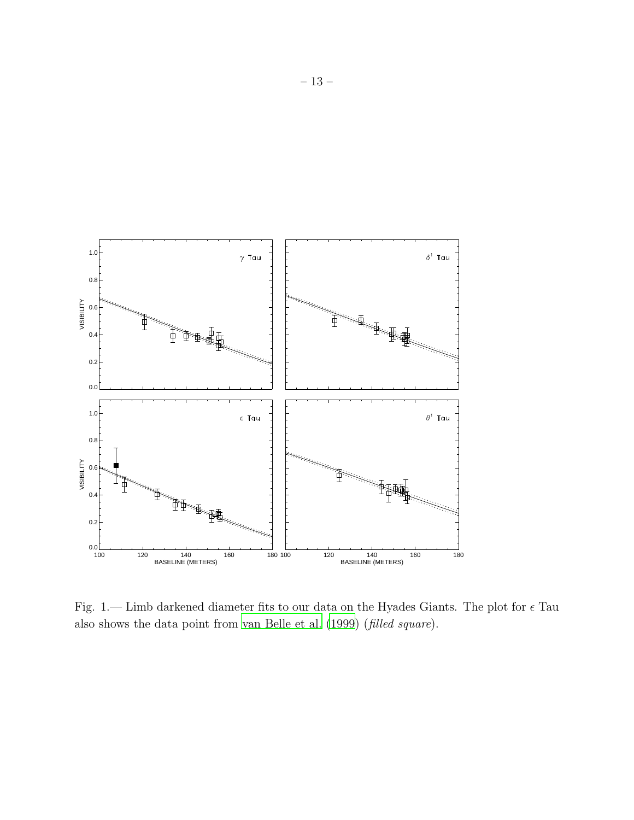

Fig. 1.— Limb darkened diameter fits to our data on the Hyades Giants. The plot for  $\epsilon$  Tau also shows the data point from [van Belle et al. \(1999\)](#page-9-9) (filled square).